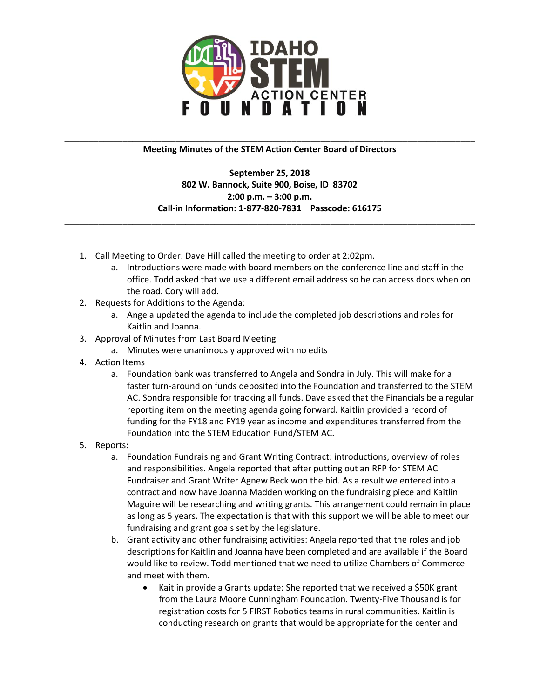

## \_\_\_\_\_\_\_\_\_\_\_\_\_\_\_\_\_\_\_\_\_\_\_\_\_\_\_\_\_\_\_\_\_\_\_\_\_\_\_\_\_\_\_\_\_\_\_\_\_\_\_\_\_\_\_\_\_\_\_\_\_\_\_\_\_\_\_\_\_\_\_\_\_\_\_\_\_\_\_\_\_\_\_\_\_ **Meeting Minutes of the STEM Action Center Board of Directors**

**September 25, 2018 802 W. Bannock, Suite 900, Boise, ID 83702 2:00 p.m. – 3:00 p.m. Call-in Information: 1-877-820-7831 Passcode: 616175**

\_\_\_\_\_\_\_\_\_\_\_\_\_\_\_\_\_\_\_\_\_\_\_\_\_\_\_\_\_\_\_\_\_\_\_\_\_\_\_\_\_\_\_\_\_\_\_\_\_\_\_\_\_\_\_\_\_\_\_\_\_\_\_\_\_\_\_\_\_\_\_\_\_\_\_\_\_\_\_\_\_\_\_\_\_

- 1. Call Meeting to Order: Dave Hill called the meeting to order at 2:02pm.
	- a. Introductions were made with board members on the conference line and staff in the office. Todd asked that we use a different email address so he can access docs when on the road. Cory will add.
- 2. Requests for Additions to the Agenda:
	- a. Angela updated the agenda to include the completed job descriptions and roles for Kaitlin and Joanna.
- 3. Approval of Minutes from Last Board Meeting
	- a. Minutes were unanimously approved with no edits
- 4. Action Items
	- a. Foundation bank was transferred to Angela and Sondra in July. This will make for a faster turn-around on funds deposited into the Foundation and transferred to the STEM AC. Sondra responsible for tracking all funds. Dave asked that the Financials be a regular reporting item on the meeting agenda going forward. Kaitlin provided a record of funding for the FY18 and FY19 year as income and expenditures transferred from the Foundation into the STEM Education Fund/STEM AC.
- 5. Reports:
	- a. Foundation Fundraising and Grant Writing Contract: introductions, overview of roles and responsibilities. Angela reported that after putting out an RFP for STEM AC Fundraiser and Grant Writer Agnew Beck won the bid. As a result we entered into a contract and now have Joanna Madden working on the fundraising piece and Kaitlin Maguire will be researching and writing grants. This arrangement could remain in place as long as 5 years. The expectation is that with this support we will be able to meet our fundraising and grant goals set by the legislature.
	- b. Grant activity and other fundraising activities: Angela reported that the roles and job descriptions for Kaitlin and Joanna have been completed and are available if the Board would like to review. Todd mentioned that we need to utilize Chambers of Commerce and meet with them.
		- Kaitlin provide a Grants update: She reported that we received a \$50K grant from the Laura Moore Cunningham Foundation. Twenty-Five Thousand is for registration costs for 5 FIRST Robotics teams in rural communities. Kaitlin is conducting research on grants that would be appropriate for the center and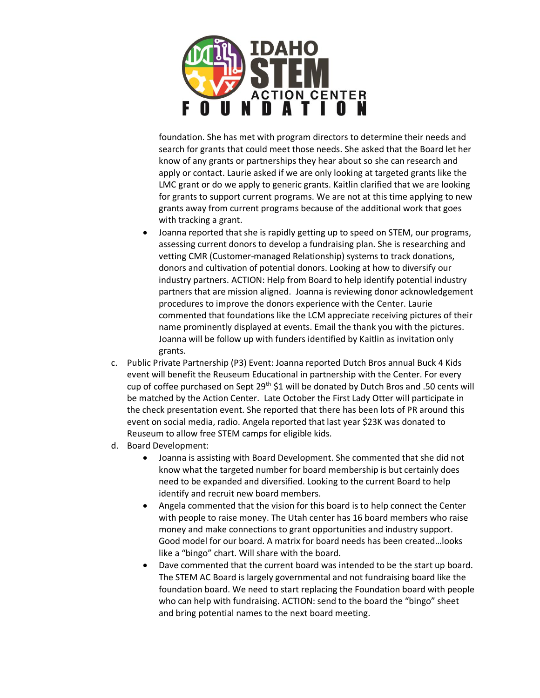

foundation. She has met with program directors to determine their needs and search for grants that could meet those needs. She asked that the Board let her know of any grants or partnerships they hear about so she can research and apply or contact. Laurie asked if we are only looking at targeted grants like the LMC grant or do we apply to generic grants. Kaitlin clarified that we are looking for grants to support current programs. We are not at this time applying to new grants away from current programs because of the additional work that goes with tracking a grant.

- Joanna reported that she is rapidly getting up to speed on STEM, our programs, assessing current donors to develop a fundraising plan. She is researching and vetting CMR (Customer-managed Relationship) systems to track donations, donors and cultivation of potential donors. Looking at how to diversify our industry partners. ACTION: Help from Board to help identify potential industry partners that are mission aligned. Joanna is reviewing donor acknowledgement procedures to improve the donors experience with the Center. Laurie commented that foundations like the LCM appreciate receiving pictures of their name prominently displayed at events. Email the thank you with the pictures. Joanna will be follow up with funders identified by Kaitlin as invitation only grants.
- c. Public Private Partnership (P3) Event: Joanna reported Dutch Bros annual Buck 4 Kids event will benefit the Reuseum Educational in partnership with the Center. For every cup of coffee purchased on Sept 29th \$1 will be donated by Dutch Bros and .50 cents will be matched by the Action Center. Late October the First Lady Otter will participate in the check presentation event. She reported that there has been lots of PR around this event on social media, radio. Angela reported that last year \$23K was donated to Reuseum to allow free STEM camps for eligible kids.
- d. Board Development:
	- Joanna is assisting with Board Development. She commented that she did not know what the targeted number for board membership is but certainly does need to be expanded and diversified. Looking to the current Board to help identify and recruit new board members.
	- Angela commented that the vision for this board is to help connect the Center with people to raise money. The Utah center has 16 board members who raise money and make connections to grant opportunities and industry support. Good model for our board. A matrix for board needs has been created…looks like a "bingo" chart. Will share with the board.
	- Dave commented that the current board was intended to be the start up board. The STEM AC Board is largely governmental and not fundraising board like the foundation board. We need to start replacing the Foundation board with people who can help with fundraising. ACTION: send to the board the "bingo" sheet and bring potential names to the next board meeting.